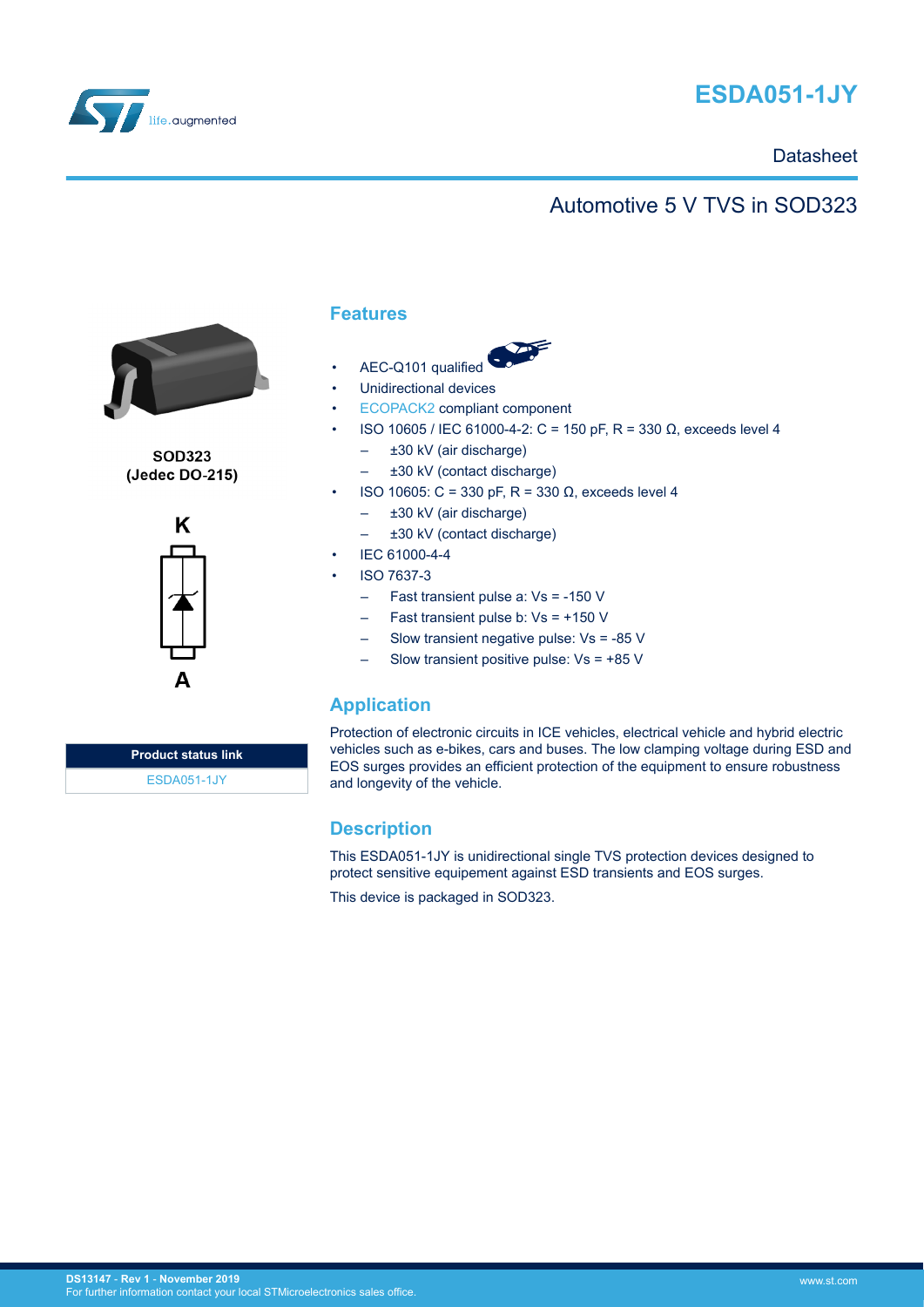



## **Datasheet**

# Automotive 5 V TVS in SOD323



**SOD323** (Jedec DO-215)



### **Features**

- AEC-Q101 qualified
- Unidirectional devices
- [ECOPACK2](https://www.st.com/ecopack) compliant component
- ISO 10605 / IEC 61000-4-2: C = 150 pF, R = 330 Ω, exceeds level 4
	- ±30 kV (air discharge)
		- ±30 kV (contact discharge)
- ISO 10605: C = 330 pF, R = 330 Ω, exceeds level 4
	- ±30 kV (air discharge)
	- ±30 kV (contact discharge)
- IEC 61000-4-4
- ISO 7637-3
	- Fast transient pulse a: Vs = -150 V
	- Fast transient pulse b: Vs = +150 V
	- Slow transient negative pulse: Vs = -85 V
	- Slow transient positive pulse:  $Vs = +85 V$

## **Application**

Protection of electronic circuits in ICE vehicles, electrical vehicle and hybrid electric vehicles such as e-bikes, cars and buses. The low clamping voltage during ESD and EOS surges provides an efficient protection of the equipment to ensure robustness and longevity of the vehicle.

## **Description**

This ESDA051-1JY is unidirectional single TVS protection devices designed to protect sensitive equipement against ESD transients and EOS surges.

This device is packaged in SOD323.

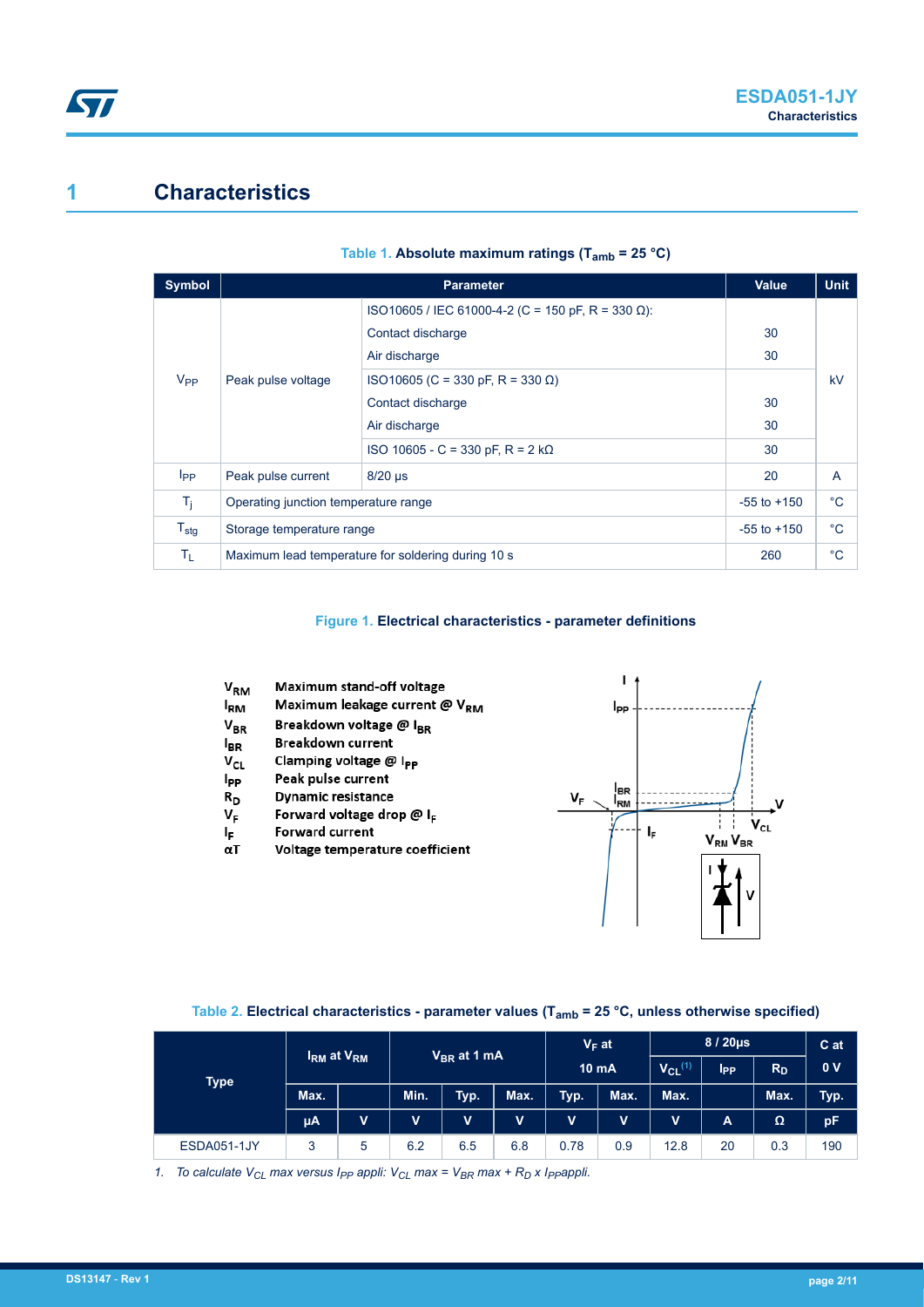# **1 Characteristics**

| Symbol           |                                                    | Value                                             | <b>Unit</b> |    |  |
|------------------|----------------------------------------------------|---------------------------------------------------|-------------|----|--|
|                  |                                                    | ISO10605 / IEC 61000-4-2 (C = 150 pF, R = 330 Ω): |             |    |  |
| $V_{PP}$         | Peak pulse voltage                                 | Contact discharge                                 | 30          |    |  |
|                  |                                                    | Air discharge                                     | 30          |    |  |
|                  |                                                    | ISO10605 (C = 330 pF, R = 330 Ω)                  |             | kV |  |
|                  |                                                    | Contact discharge                                 |             |    |  |
|                  |                                                    | Air discharge                                     | 30          |    |  |
|                  |                                                    | ISO 10605 - C = 330 pF, R = 2 kΩ                  | 30          |    |  |
| $I_{PP}$         | Peak pulse current                                 | $8/20$ µs                                         |             | A  |  |
| $T_j$            | Operating junction temperature range               | $-55$ to $+150$                                   | $^{\circ}C$ |    |  |
| $T_{\text{stg}}$ | Storage temperature range                          | $-55$ to $+150$                                   | $^{\circ}C$ |    |  |
| Tŗ.              | Maximum lead temperature for soldering during 10 s | 260                                               | $^{\circ}C$ |    |  |

#### **Table 1. Absolute maximum ratings (Tamb = 25 °C)**

#### **Figure 1. Electrical characteristics - parameter definitions**

Ï V<sub>RM</sub> Maximum stand-off voltage Maximum leakage current @ VRM **IRM**  $I_{PP}$ Breakdown voltage @ I<sub>BR</sub>  $V_{BR}$ Breakdown current  $I_{BR}$ Clamping voltage @ I<sub>PP</sub>  $V_{CL}$ Peak pulse current **IPP**  $I_{\rm RM}$  $R_D$ **Dynamic resistance** VF Forward voltage drop  $@I_{F}$  $\mathsf{v}_{\mathsf{c}\mathsf{L}}$ Ip. Forward current  $I_F$  $V_{\rm RM} V_{\rm BR}$  $\alpha T$ Voltage temperature coefficient

#### **Table 2. Electrical characteristics - parameter values (Tamb = 25 °C, unless otherwise specified)**

|                    | <b>IRM at VRM</b> |             | V <sub>BR</sub> at 1 mA |             | $V_F$ at<br><b>10 mA</b> |             | $8/20\mu s$             |             | C at           |      |      |
|--------------------|-------------------|-------------|-------------------------|-------------|--------------------------|-------------|-------------------------|-------------|----------------|------|------|
| <b>Type</b>        |                   |             |                         |             |                          |             | $V_{CL}$ <sup>(1)</sup> | <b>Ipp</b>  | $R_D$          | 0V   |      |
|                    | Max.              |             | Min.                    | Typ.        | Max.                     | Typ.        | Max.                    | Max.        |                | Max. | Typ. |
|                    | $\mu$ A           | $\mathbf V$ | $\mathbf{V}$            | $\mathbf v$ | $\mathbf v$              | $\mathbf v$ | $\mathbf v$             | $\mathbf v$ | $\overline{A}$ | Ω    | pF   |
| <b>ESDA051-1JY</b> | 3                 | 5           | 6.2                     | 6.5         | 6.8                      | 0.78        | 0.9                     | 12.8        | 20             | 0.3  | 190  |

*1. To calculate VCL max versus IPP appli: VCL max = VBR max + RD x IPPappli.*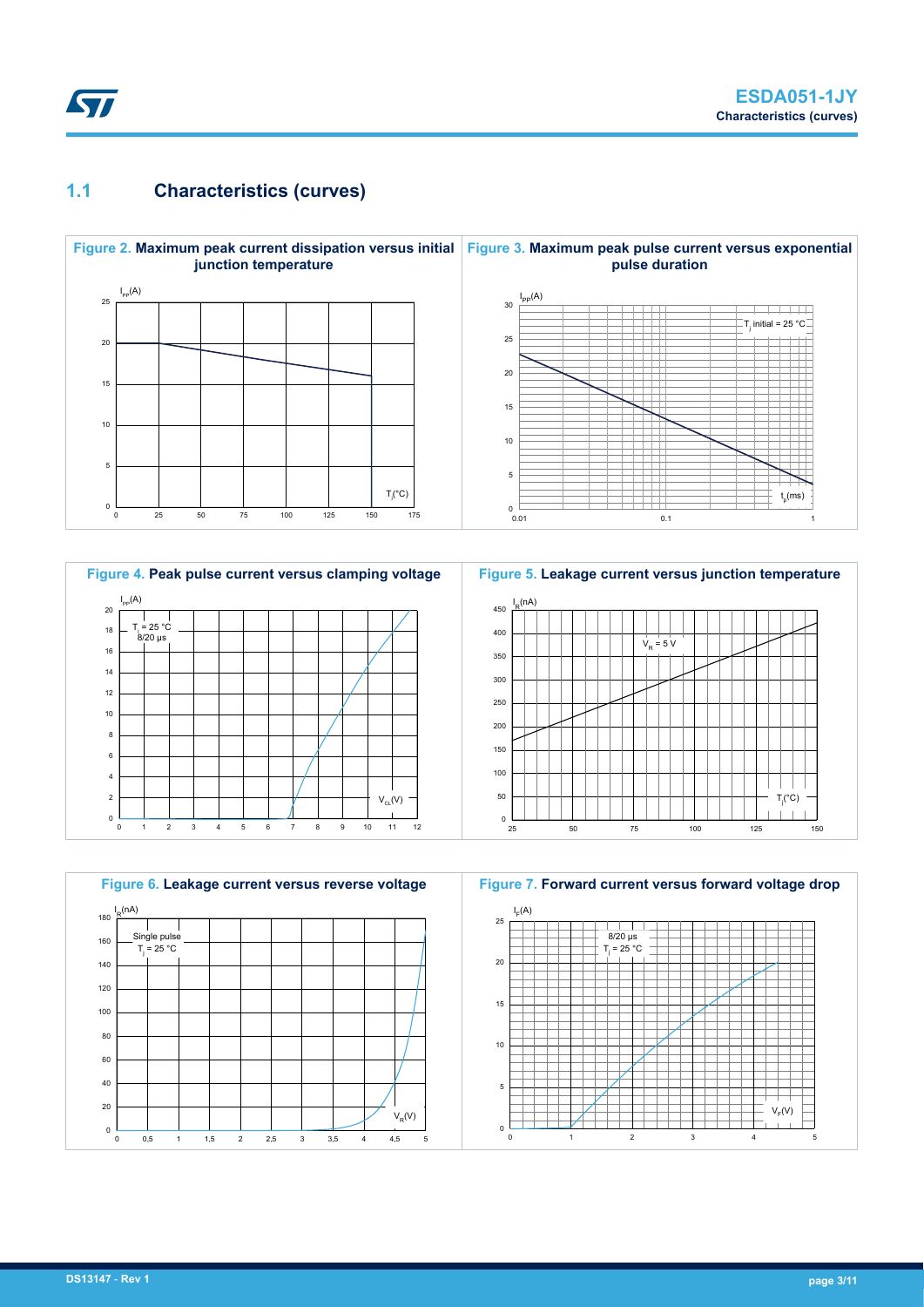## **1.1 Characteristics (curves)**

ST









**Figure 7. Forward current versus forward voltage drop**

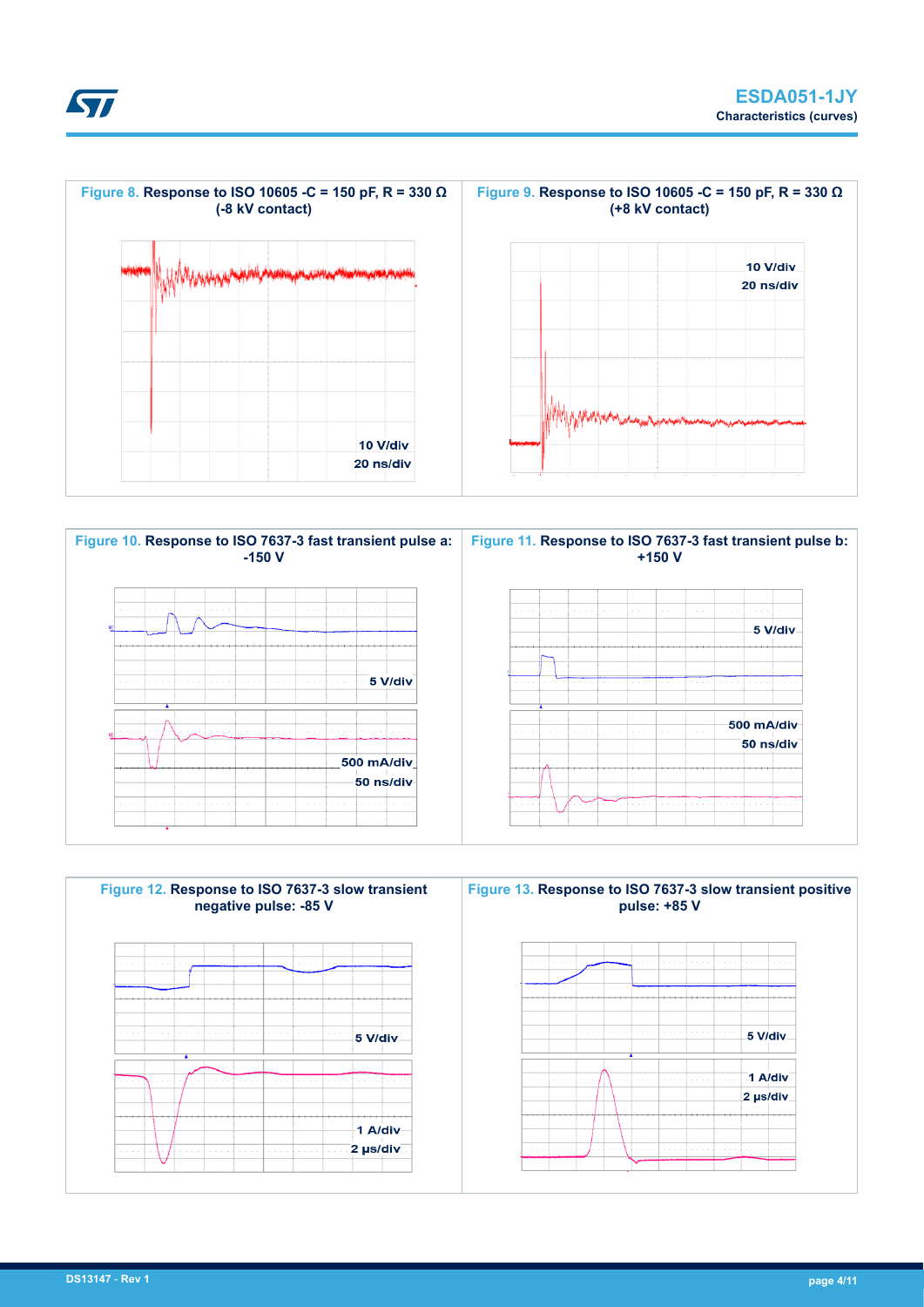





**STI**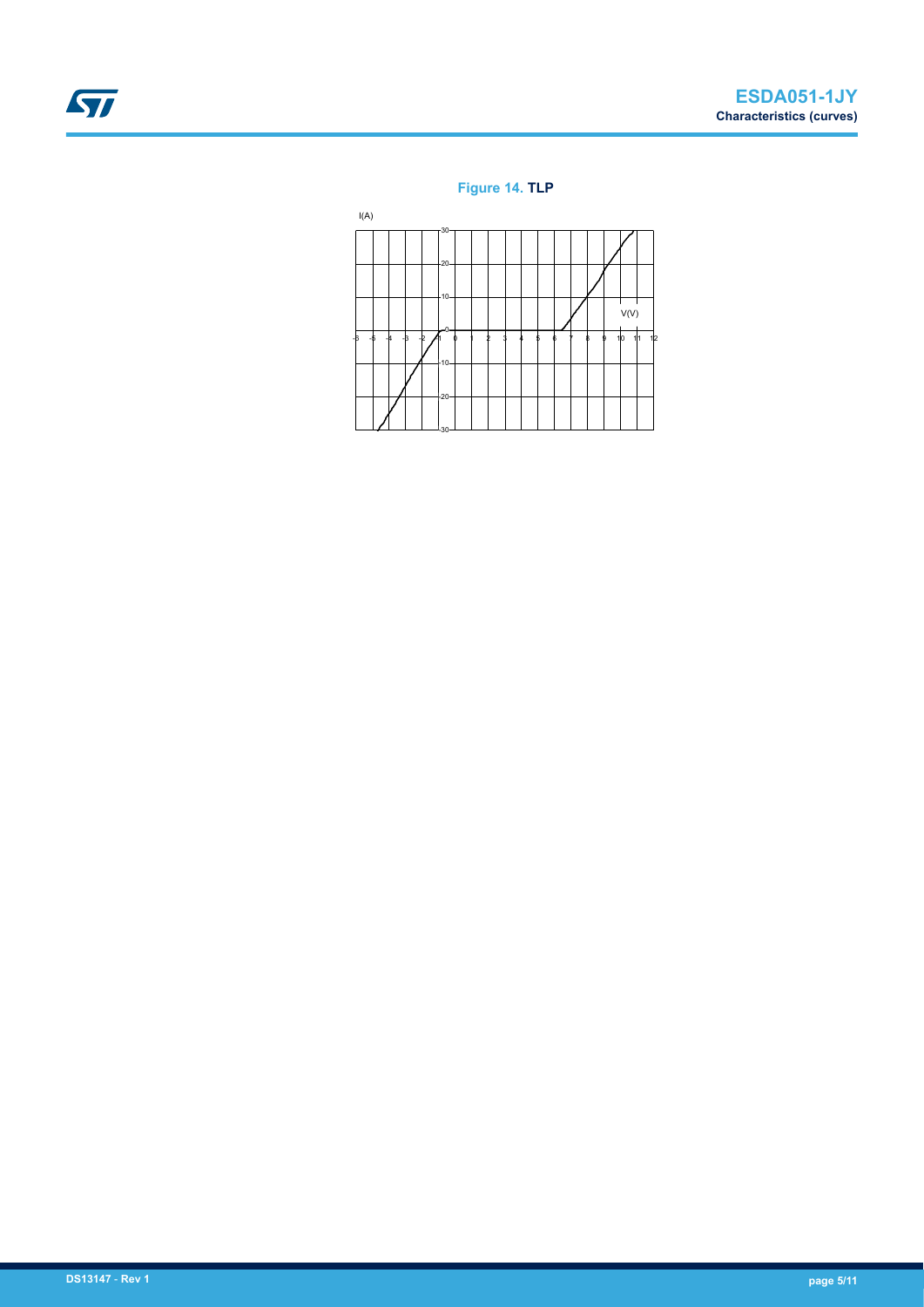# ST

#### **Figure 14. TLP**

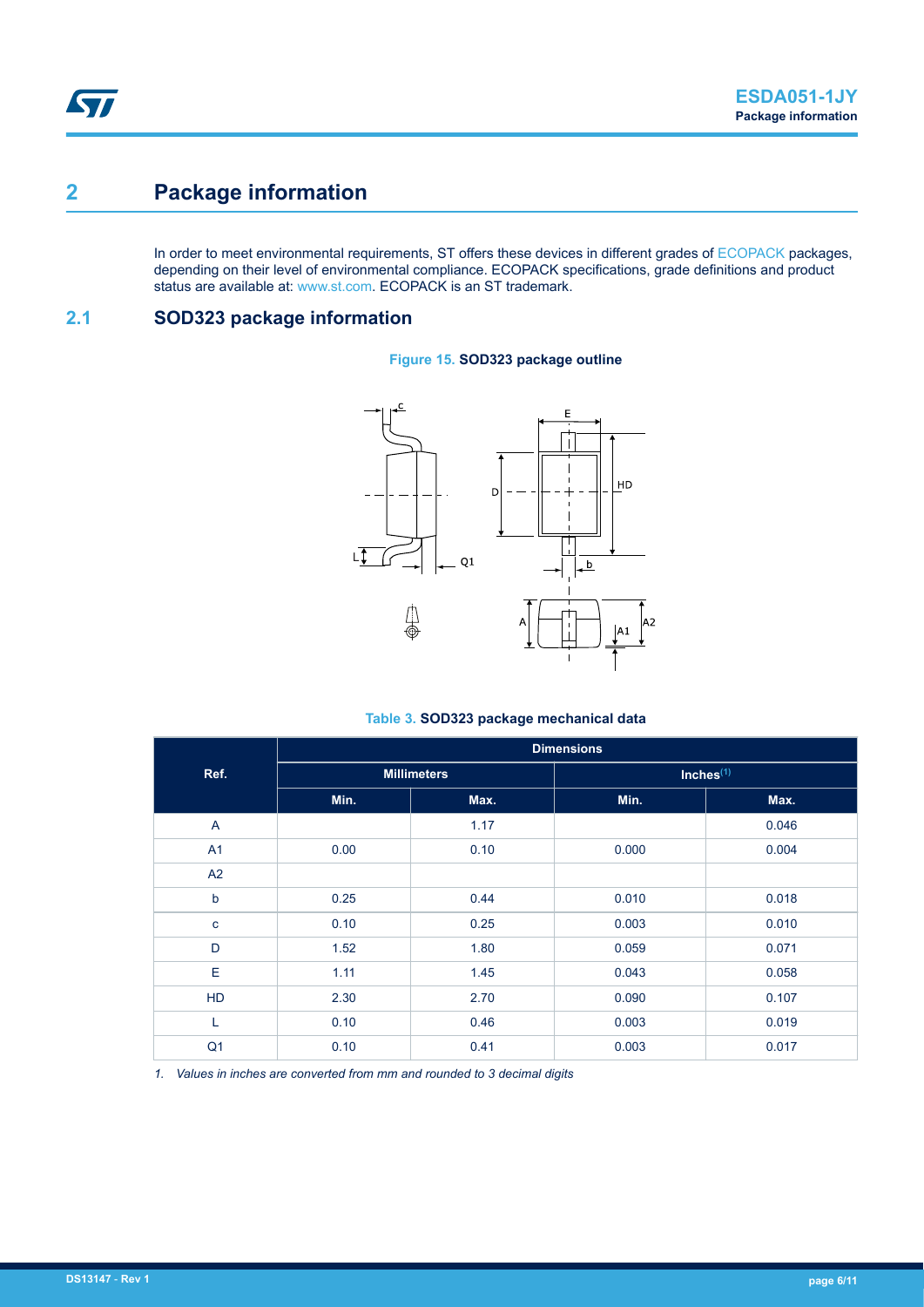# **2 Package information**

In order to meet environmental requirements, ST offers these devices in different grades of [ECOPACK](https://www.st.com/ecopack) packages, depending on their level of environmental compliance. ECOPACK specifications, grade definitions and product status are available at: [www.st.com.](http://www.st.com) ECOPACK is an ST trademark.

### **2.1 SOD323 package information**

#### **Figure 15. SOD323 package outline**



#### **Table 3. SOD323 package mechanical data**

|                | <b>Dimensions</b> |                    |                |       |  |  |  |  |
|----------------|-------------------|--------------------|----------------|-------|--|--|--|--|
| Ref.           |                   | <b>Millimeters</b> | $Inches^{(1)}$ |       |  |  |  |  |
|                | Min.              | Max.               | Min.           | Max.  |  |  |  |  |
| A              |                   | 1.17               |                | 0.046 |  |  |  |  |
| A <sub>1</sub> | 0.00              | 0.10               | 0.000          | 0.004 |  |  |  |  |
| A2             |                   |                    |                |       |  |  |  |  |
| $\mathsf b$    | 0.25              | 0.44               | 0.010          | 0.018 |  |  |  |  |
| $\mathbf{C}$   | 0.10              | 0.25               | 0.003          | 0.010 |  |  |  |  |
| D              | 1.52              | 1.80               | 0.059          | 0.071 |  |  |  |  |
| E              | 1.11              | 1.45               | 0.043          | 0.058 |  |  |  |  |
| <b>HD</b>      | 2.30              | 2.70               | 0.090          | 0.107 |  |  |  |  |
| L              | 0.10              | 0.46               | 0.003          | 0.019 |  |  |  |  |
| Q <sub>1</sub> | 0.10              | 0.41               | 0.003          | 0.017 |  |  |  |  |

*1. Values in inches are converted from mm and rounded to 3 decimal digits*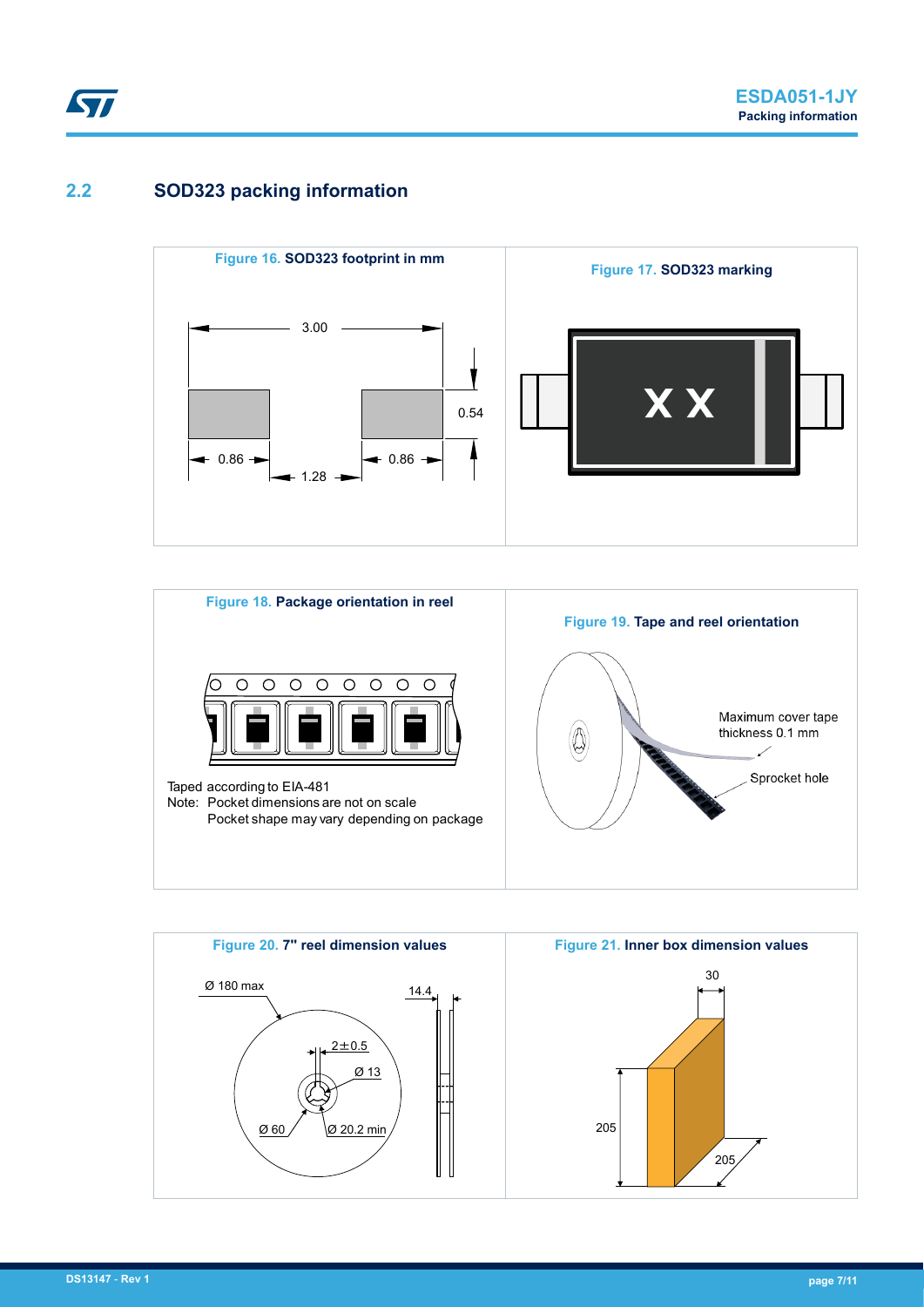## **2.2 SOD323 packing information**





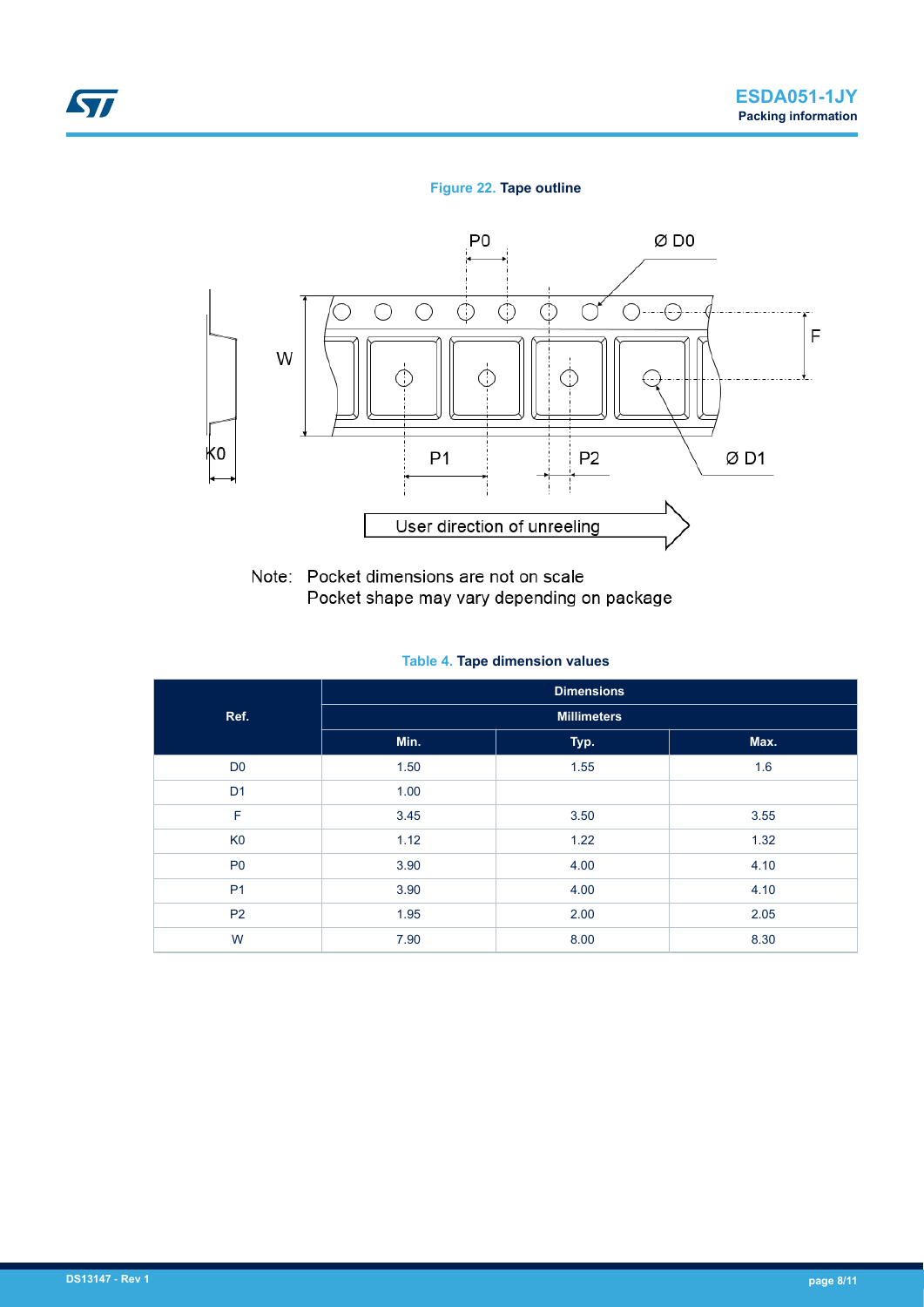#### **Figure 22. Tape outline**



Note: Pocket dimensions are not on scale Pocket shape may vary depending on package

**Table 4. Tape dimension values**

|                | <b>Dimensions</b> |                    |      |  |  |  |
|----------------|-------------------|--------------------|------|--|--|--|
| Ref.           |                   | <b>Millimeters</b> |      |  |  |  |
|                | Min.              | Typ.               | Max. |  |  |  |
| D <sub>0</sub> | 1.50              | 1.55               | 1.6  |  |  |  |
| D <sub>1</sub> | 1.00              |                    |      |  |  |  |
| F              | 3.45              | 3.50               | 3.55 |  |  |  |
| K <sub>0</sub> | 1.12              | 1.22               | 1.32 |  |  |  |
| P <sub>0</sub> | 3.90              | 4.00               | 4.10 |  |  |  |
| P <sub>1</sub> | 3.90              | 4.00               | 4.10 |  |  |  |
| <b>P2</b>      | 1.95              | 2.00               | 2.05 |  |  |  |
| W              | 7.90              | 8.00               | 8.30 |  |  |  |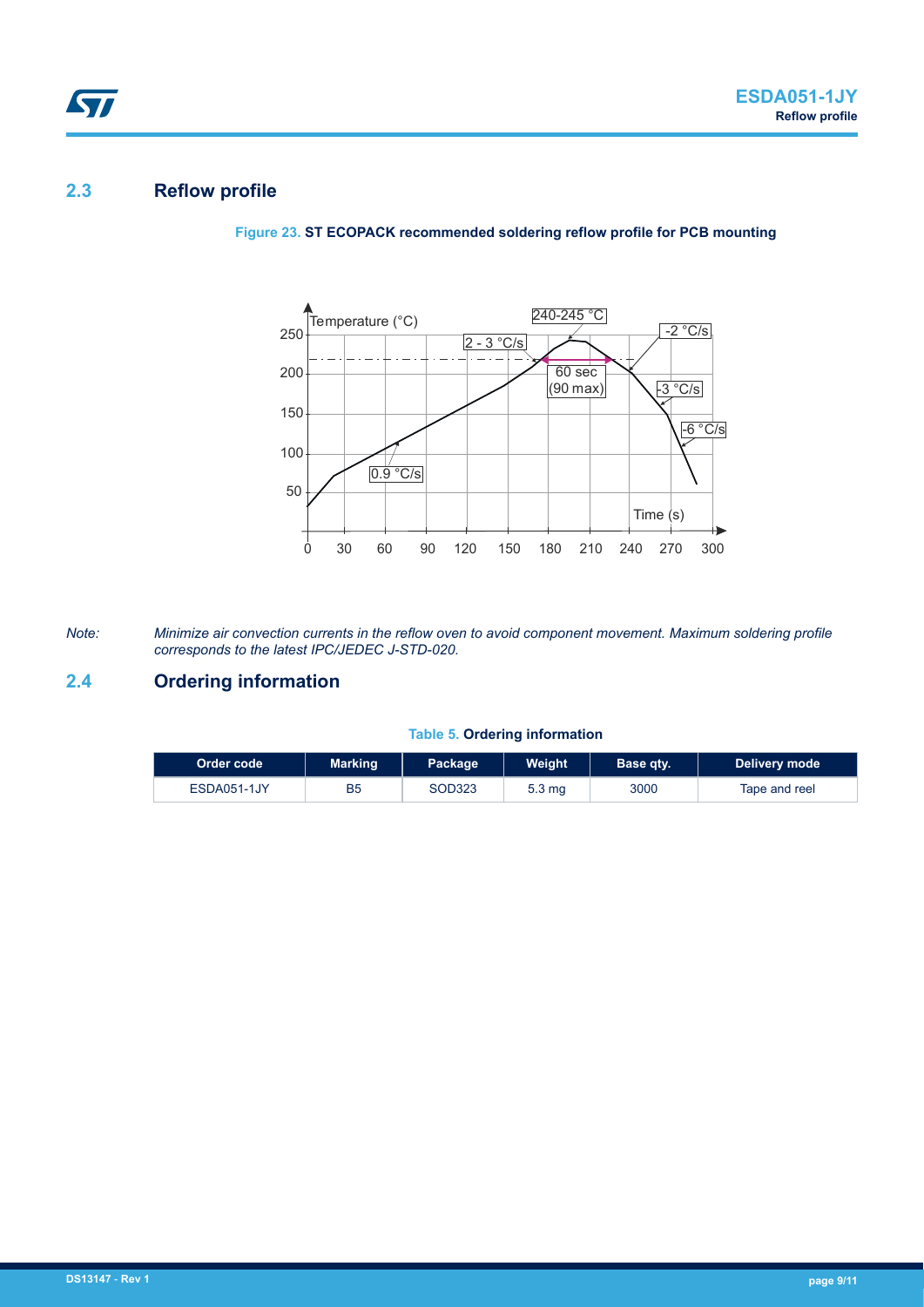## **2.3 Reflow profile**



**Figure 23. ST ECOPACK recommended soldering reflow profile for PCB mounting**

*Note: Minimize air convection currents in the reflow oven to avoid component movement. Maximum soldering profile corresponds to the latest IPC/JEDEC J-STD-020.*

#### **2.4 Ordering information**

#### **Table 5. Ordering information**

| ∣Order code <sup>⊦</sup> | <b>Marking</b> | Package | Weight            | Base qty. | Delivery mode |
|--------------------------|----------------|---------|-------------------|-----------|---------------|
| ESDA051-1JY              | B5             | SOD323  | 5.3 <sub>mq</sub> | 3000      | Tape and reel |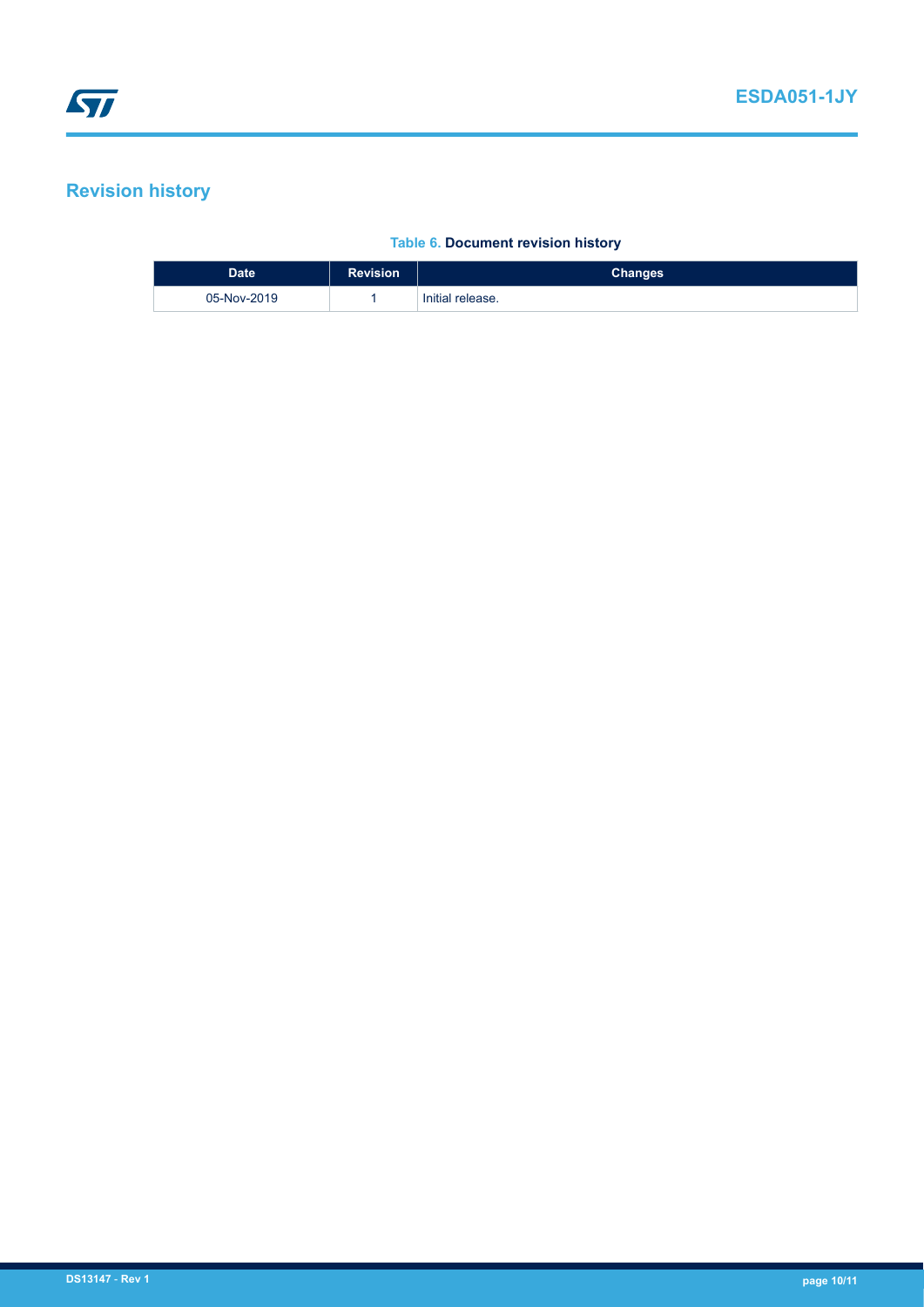# **Revision history**

#### **Table 6. Document revision history**

| <b>Date</b> | <b>Revision</b> | <b>Changes</b>   |
|-------------|-----------------|------------------|
| 05-Nov-2019 |                 | Initial release. |